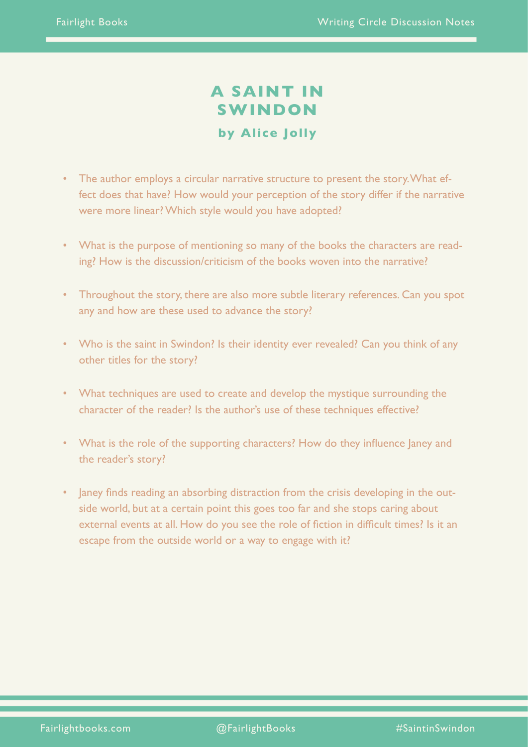# **A SAINT IN SWINDON by Alice Jolly**

- The author employs a circular narrative structure to present the story. What effect does that have? How would your perception of the story differ if the narrative were more linear? Which style would you have adopted?
- What is the purpose of mentioning so many of the books the characters are reading? How is the discussion/criticism of the books woven into the narrative?
- Throughout the story, there are also more subtle literary references. Can you spot any and how are these used to advance the story?
- Who is the saint in Swindon? Is their identity ever revealed? Can you think of any other titles for the story?
- What techniques are used to create and develop the mystique surrounding the character of the reader? Is the author's use of these techniques effective?
- What is the role of the supporting characters? How do they influence Janey and the reader's story?
- Janey finds reading an absorbing distraction from the crisis developing in the outside world, but at a certain point this goes too far and she stops caring about external events at all. How do you see the role of fiction in difficult times? Is it an escape from the outside world or a way to engage with it?